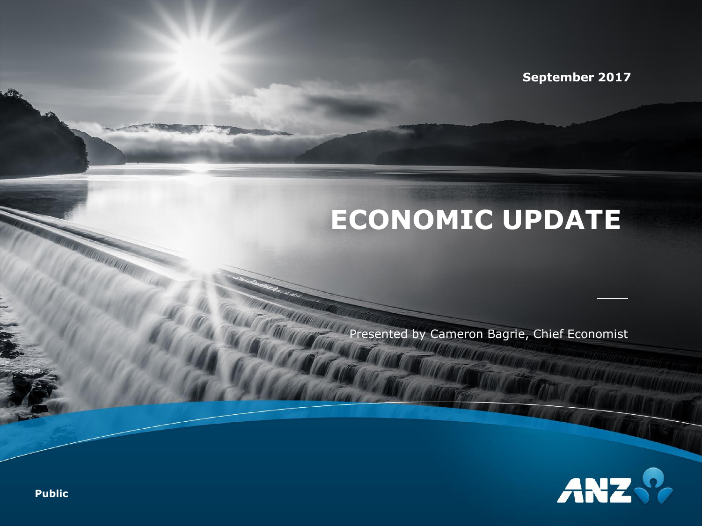**September 2017**

## **ECONOMIC UPDATE**

Presented by Cameron Bagrie, Chief Economist



**Public**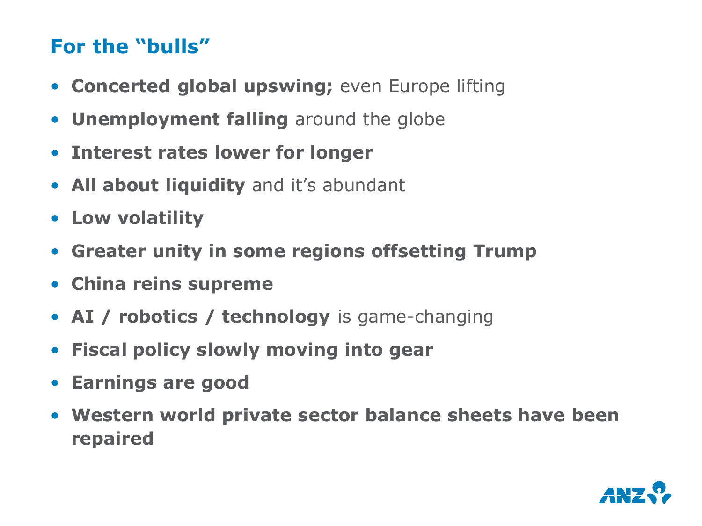#### **For the "bulls"**

- **Concerted global upswing;** even Europe lifting
- **Unemployment falling** around the globe
- **Interest rates lower for longer**
- **All about liquidity** and it's abundant
- **Low volatility**
- **Greater unity in some regions offsetting Trump**
- **China reins supreme**
- **AI / robotics / technology** is game-changing
- **Fiscal policy slowly moving into gear**
- **Earnings are good**
- **Western world private sector balance sheets have been repaired**

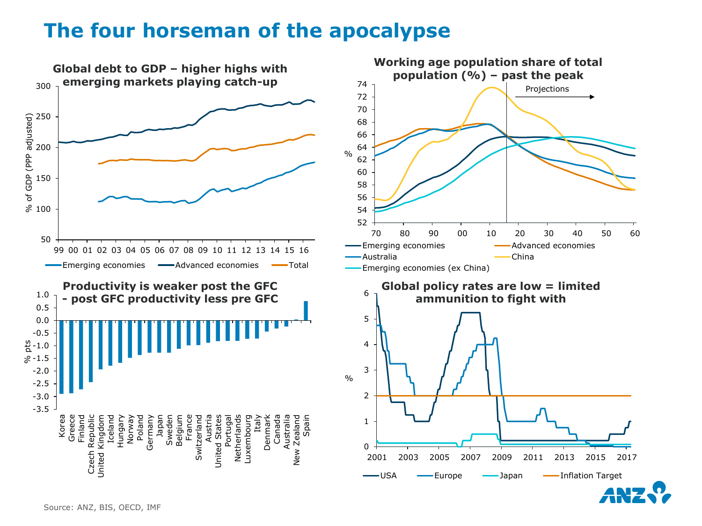#### **The four horseman of the apocalypse**

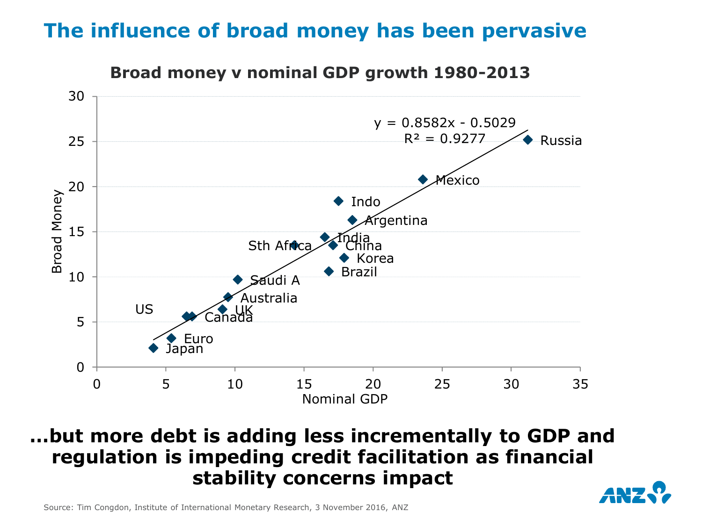#### **The influence of broad money has been pervasive**



#### **Broad money v nominal GDP growth 1980-2013**

#### **…but more debt is adding less incrementally to GDP and regulation is impeding credit facilitation as financial stability concerns impact**



Source: Tim Congdon, Institute of International Monetary Research, 3 November 2016, ANZ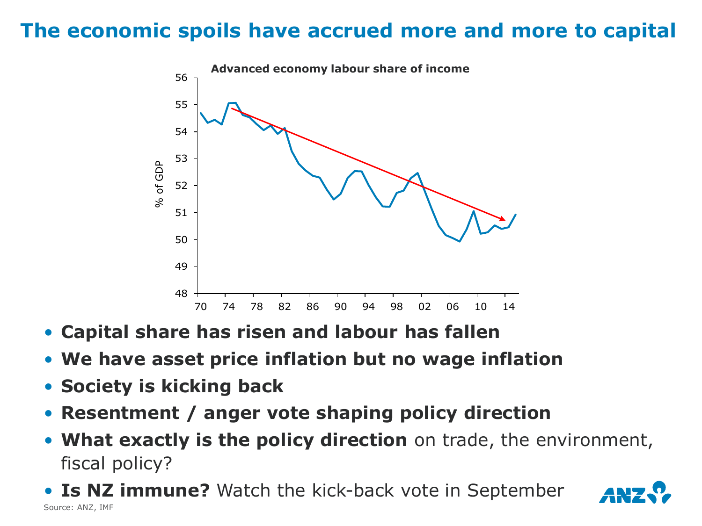## **The economic spoils have accrued more and more to capital**



- **Capital share has risen and labour has fallen**
- **We have asset price inflation but no wage inflation**
- **Society is kicking back**
- **Resentment / anger vote shaping policy direction**
- **What exactly is the policy direction** on trade, the environment, fiscal policy?
- **Is NZ immune?** Watch the kick-back vote in September Source: ANZ, IMF

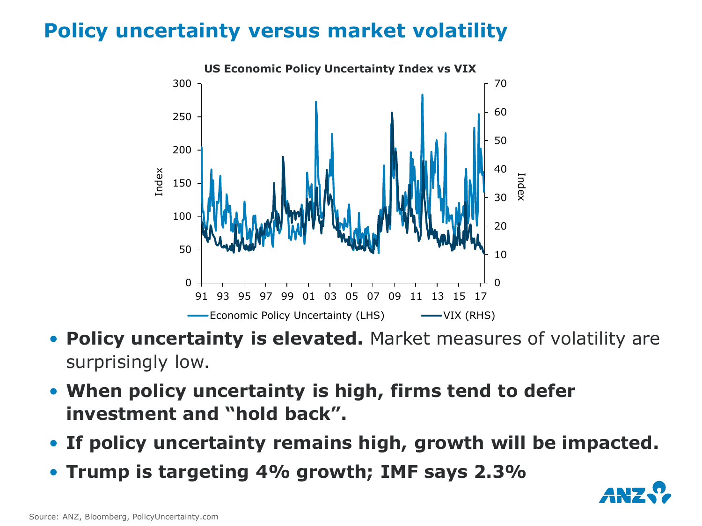## **Policy uncertainty versus market volatility**



- **Policy uncertainty is elevated.** Market measures of volatility are surprisingly low.
- **When policy uncertainty is high, firms tend to defer investment and "hold back".**
- **If policy uncertainty remains high, growth will be impacted.**
- **Trump is targeting 4% growth; IMF says 2.3%**

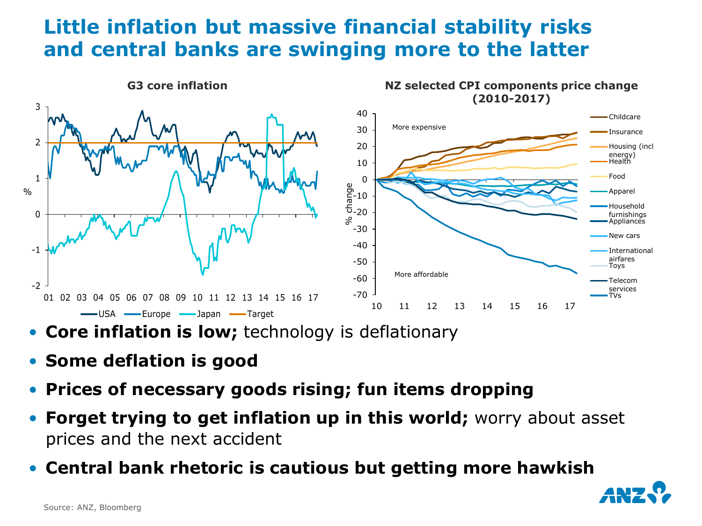#### **Little inflation but massive financial stability risks and central banks are swinging more to the latter**



- **Core inflation is low;** technology is deflationary
- **Some deflation is good**
- **Prices of necessary goods rising; fun items dropping**
- **Forget trying to get inflation up in this world;** worry about asset prices and the next accident
- **Central bank rhetoric is cautious but getting more hawkish**

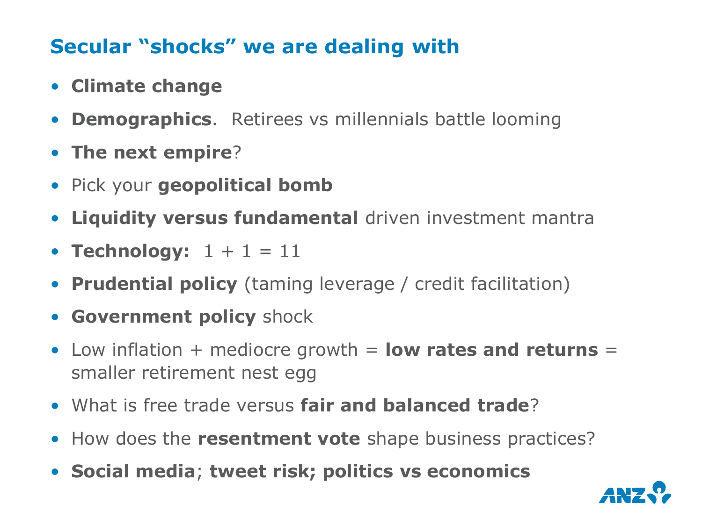## **Secular "shocks" we are dealing with**

- **Climate change**
- **Demographics**. Retirees vs millennials battle looming
- **The next empire**?
- Pick your **geopolitical bomb**
- **Liquidity versus fundamental** driven investment mantra
- **Technology:**  $1 + 1 = 11$
- **Prudential policy** (taming leverage / credit facilitation)
- **Government policy** shock
- Low inflation + mediocre growth = **low rates and returns** = smaller retirement nest egg
- What is free trade versus **fair and balanced trade**?
- How does the **resentment vote** shape business practices?
- **Social media**; **tweet risk; politics vs economics**

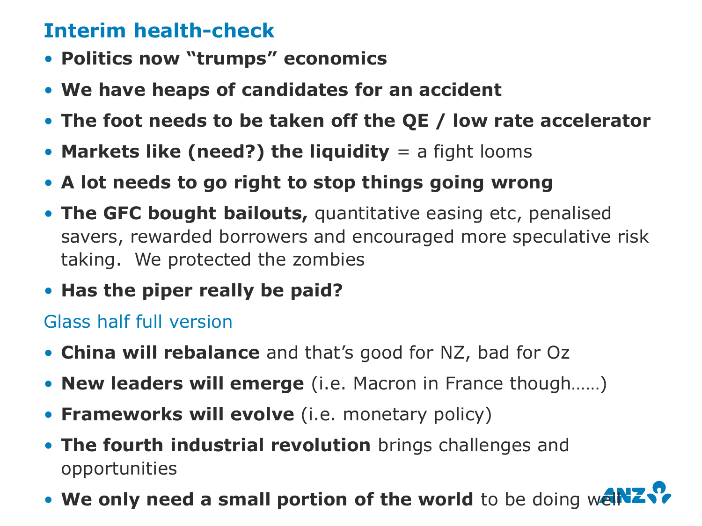## **Interim health-check**

- **Politics now "trumps" economics**
- **We have heaps of candidates for an accident**
- **The foot needs to be taken off the QE / low rate accelerator**
- **Markets like (need?) the liquidity** = a fight looms
- **A lot needs to go right to stop things going wrong**
- **The GFC bought bailouts,** quantitative easing etc, penalised savers, rewarded borrowers and encouraged more speculative risk taking. We protected the zombies
- **Has the piper really be paid?**

Glass half full version

- **China will rebalance** and that's good for NZ, bad for Oz
- **New leaders will emerge** (i.e. Macron in France though……)
- **Frameworks will evolve** (i.e. monetary policy)
- **The fourth industrial revolution** brings challenges and opportunities
- We only need a small portion of the world to be doing we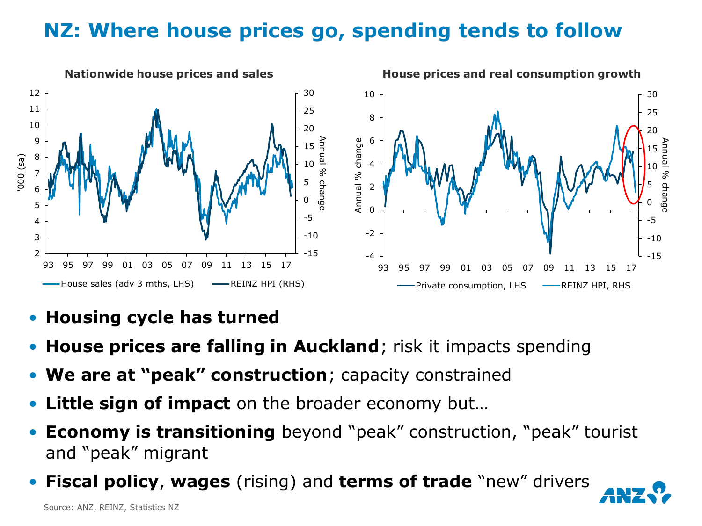## **NZ: Where house prices go, spending tends to follow**



- **Housing cycle has turned**
- **House prices are falling in Auckland**; risk it impacts spending
- **We are at "peak" construction**; capacity constrained
- **Little sign of impact** on the broader economy but...
- **Economy is transitioning** beyond "peak" construction, "peak" tourist and "peak" migrant
- **Fiscal policy**, **wages** (rising) and **terms of trade** "new" drivers

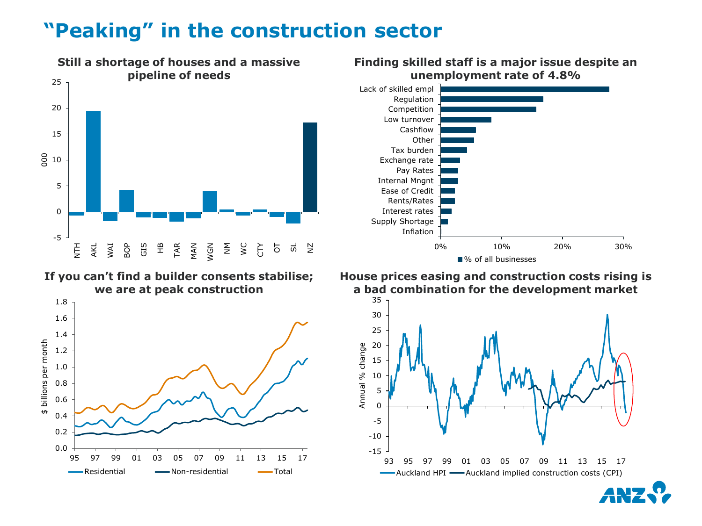#### **"Peaking" in the construction sector**



**If you can't find a builder consents stabilise; we are at peak construction**





#### **Finding skilled staff is a major issue despite an unemployment rate of 4.8%**

■% of all businesses

**House prices easing and construction costs rising is a bad combination for the development market**

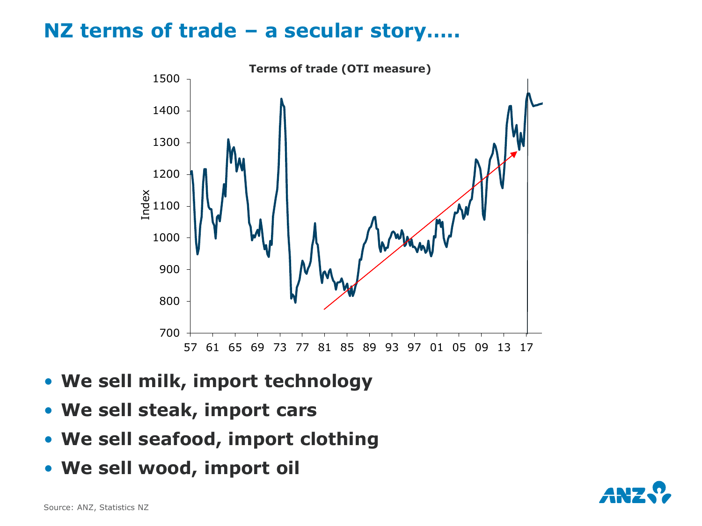#### **NZ terms of trade – a secular story…..**



- **We sell milk, import technology**
- **We sell steak, import cars**
- **We sell seafood, import clothing**
- **We sell wood, import oil**

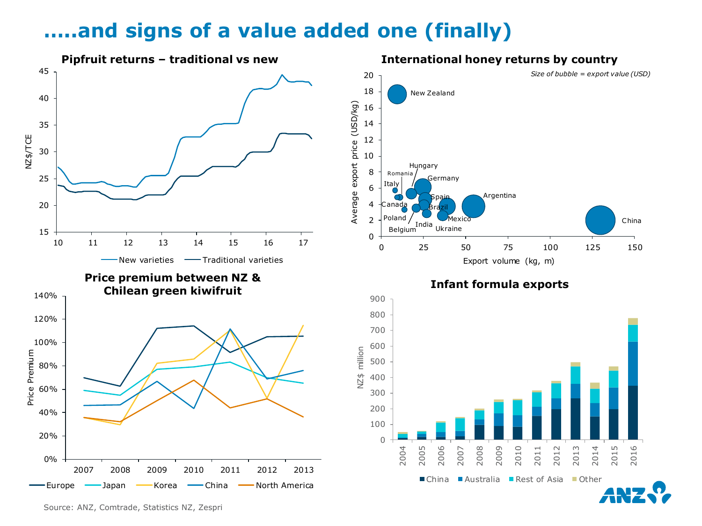#### **…..and signs of a value added one (finally)**

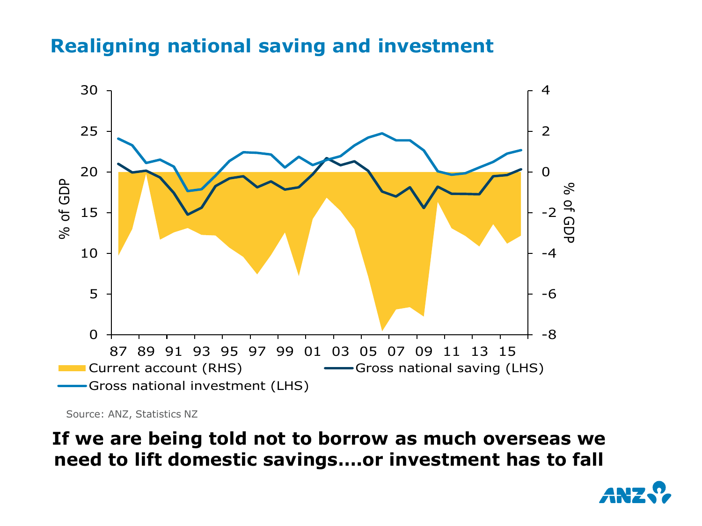#### **Realigning national saving and investment**



Source: ANZ, Statistics NZ

**If we are being told not to borrow as much overseas we need to lift domestic savings….or investment has to fall**

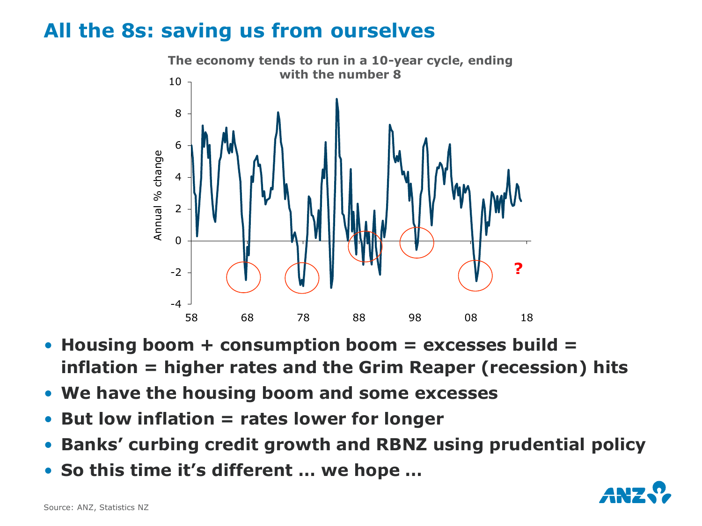#### **All the 8s: saving us from ourselves**



- **Housing boom + consumption boom = excesses build = inflation = higher rates and the Grim Reaper (recession) hits**
- **We have the housing boom and some excesses**
- **But low inflation = rates lower for longer**
- **Banks' curbing credit growth and RBNZ using prudential policy**
- **So this time it's different … we hope …**

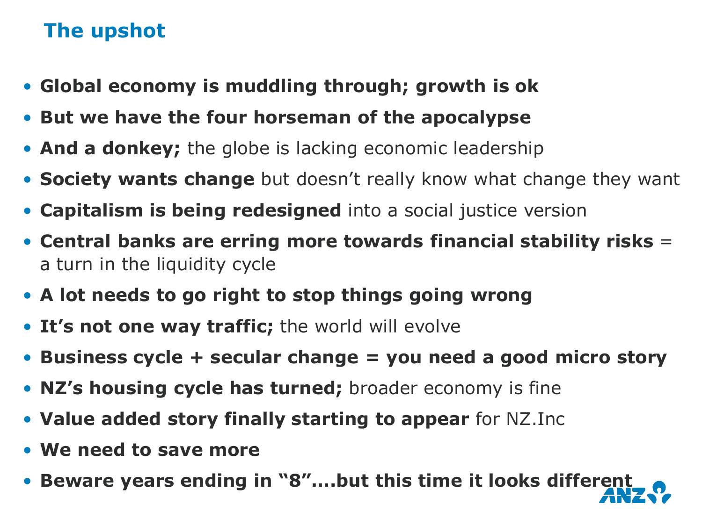### **The upshot**

- **Global economy is muddling through; growth is ok**
- **But we have the four horseman of the apocalypse**
- **And a donkey;** the globe is lacking economic leadership
- **Society wants change** but doesn't really know what change they want
- **Capitalism is being redesigned** into a social justice version
- **Central banks are erring more towards financial stability risks** = a turn in the liquidity cycle
- **A lot needs to go right to stop things going wrong**
- **It's not one way traffic;** the world will evolve
- **Business cycle + secular change = you need a good micro story**
- **NZ's housing cycle has turned;** broader economy is fine
- **Value added story finally starting to appear** for NZ.Inc
- **We need to save more**
- **Beware years ending in "8"….but this time it looks different**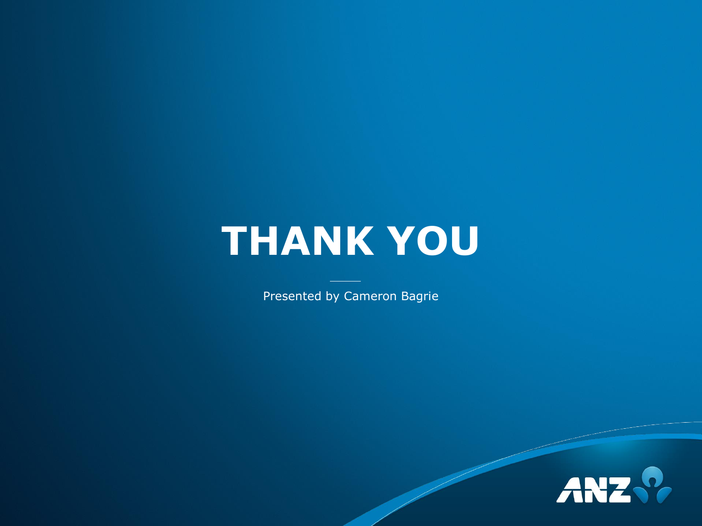# **THANK YOU**

Presented by Cameron Bagrie

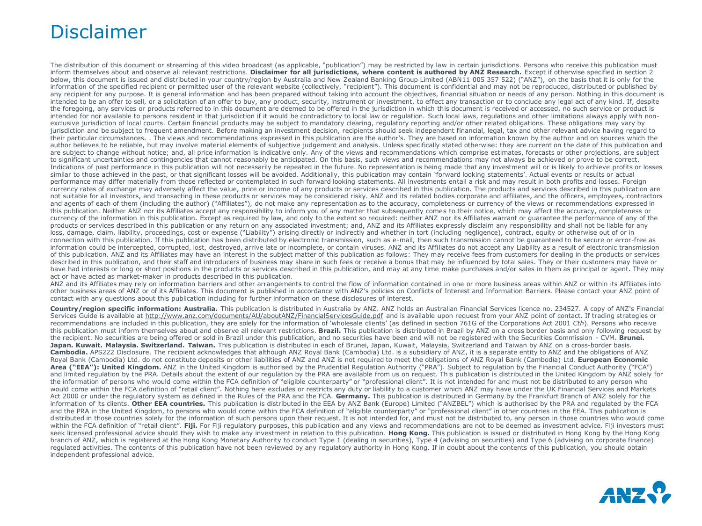#### Disclaimer

The distribution of this document or streaming of this video broadcast (as applicable, "publication") may be restricted by law in certain jurisdictions. Persons who receive this publication must inform themselves about and observe all relevant restrictions. Disclaimer for all jurisdictions, where content is authored by ANZ Research. Except if otherwise specified in section 2 below, this document is issued and distributed in your country/region by Australia and New Zealand Banking Group Limited (ABN11 005 357 522) ("ANZ"), on the basis that it is only for the information of the specified recipient or permitted user of the relevant website (collectively, "recipient"). This document is confidential and may not be reproduced, distributed or published by any recipient for any purpose. It is general information and has been prepared without taking into account the objectives, financial situation or needs of any person. Nothing in this document is intended to be an offer to sell, or a solicitation of an offer to buy, any product, security, instrument or investment, to effect any transaction or to conclude any legal act of any kind. If, despite the foregoing, any services or products referred to in this document are deemed to be offered in the jurisdiction in which this document is received or accessed, no such service or product is intended for nor available to persons resident in that jurisdiction if it would be contradictory to local law or regulation. Such local laws, regulations and other limitations always apply with nonexclusive jurisdiction of local courts. Certain financial products may be subject to mandatory clearing, regulatory reporting and/or other related obligations. These obligations may vary by jurisdiction and be subject to frequent amendment. Before making an investment decision, recipients should seek independent financial, legal, tax and other relevant advice having regard to their particular circumstances. . The views and recommendations expressed in this publication are the author's. They are based on information known by the author and on sources which the author believes to be reliable, but may involve material elements of subjective judgement and analysis. Unless specifically stated otherwise: they are current on the date of this publication and are subject to change without notice; and, all price information is indicative only. Any of the views and recommendations which comprise estimates, forecasts or other projections, are subject to significant uncertainties and contingencies that cannot reasonably be anticipated. On this basis, such views and recommendations may not always be achieved or prove to be correct. Indications of past performance in this publication will not necessarily be repeated in the future. No representation is being made that any investment will or is likely to achieve profits or losses similar to those achieved in the past, or that significant losses will be avoided. Additionally, this publication may contain 'forward looking statements'. Actual events or results or actual performance may differ materially from those reflected or contemplated in such forward looking statements. All investments entail a risk and may result in both profits and losses. Foreign currency rates of exchange may adversely affect the value, price or income of any products or services described in this publication. The products and services described in this publication are not suitable for all investors, and transacting in these products or services may be considered risky. ANZ and its related bodies corporate and affiliates, and the officers, employees, contractors and agents of each of them (including the author) ("Affiliates"), do not make any representation as to the accuracy, completeness or currency of the views or recommendations expressed in this publication. Neither ANZ nor its Affiliates accept any responsibility to inform you of any matter that subsequently comes to their notice, which may affect the accuracy, completeness or currency of the information in this publication. Except as required by law, and only to the extent so required: neither ANZ nor its Affiliates warrant or guarantee the performance of any of the products or services described in this publication or any return on any associated investment; and, ANZ and its Affiliates expressly disclaim any responsibility and shall not be liable for any loss, damage, claim, liability, proceedings, cost or expense ("Liability") arising directly or indirectly and whether in tort (including negligence), contract, equity or otherwise out of or in connection with this publication. If this publication has been distributed by electronic transmission, such as e-mail, then such transmission cannot be guaranteed to be secure or error-free as information could be intercepted, corrupted, lost, destroyed, arrive late or incomplete, or contain viruses. ANZ and its Affiliates do not accept any Liability as a result of electronic transmission of this publication. ANZ and its Affiliates may have an interest in the subject matter of this publication as follows: They may receive fees from customers for dealing in the products or services described in this publication, and their staff and introducers of business may share in such fees or receive a bonus that may be influenced by total sales. They or their customers may have or have had interests or long or short positions in the products or services described in this publication, and may at any time make purchases and/or sales in them as principal or agent. They may act or have acted as market-maker in products described in this publication.

ANZ and its Affiliates may rely on information barriers and other arrangements to control the flow of information contained in one or more business areas within ANZ or within its Affiliates into other business areas of ANZ or of its Affiliates. This document is published in accordance with ANZ's policies on Conflicts of Interest and Information Barriers. Please contact your ANZ point of contact with any questions about this publication including for further information on these disclosures of interest.

**Country/region specific information: Australia.** This publication is distributed in Australia by ANZ. ANZ holds an Australian Financial Services licence no. 234527. A copy of ANZ's Financial Services Guide is available at http://www.anz.com/documents/AU/aboutANZ/FinancialServicesGuide.pdf and is available upon request from your ANZ point of contact. If trading strategies or recommendations are included in this publication, they are solely for the information of 'wholesale clients' (as defined in section 761G of the Corporations Act 2001 *Cth*). Persons who receive this publication must inform themselves about and observe all relevant restrictions. **Brazil.** This publication is distributed in Brazil by ANZ on a cross border basis and only following request by the recipient. No securities are being offered or sold in Brazil under this publication, and no securities have been and will not be registered with the Securities Commission - CVM. **Brunei.**  Japan. Kuwait. Malaysia. Switzerland. Taiwan. This publication is distributed in each of Brunei, Japan, Kuwait, Malaysia, Switzerland and Taiwan by ANZ on a cross-border basis. Cambodia. APS222 Disclosure. The recipient acknowledges that although ANZ Royal Bank (Cambodia) Ltd. is a subsidiary of ANZ, it is a separate entity to ANZ and the obligations of ANZ Royal Bank (Cambodia) Ltd. do not constitute deposits or other liabilities of ANZ and ANZ is not required to meet the obligations of ANZ Royal Bank (Cambodia) Ltd. **European Economic Area ("EEA"): United Kingdom.** ANZ in the United Kingdom is authorised by the Prudential Regulation Authority ("PRA"). Subject to regulation by the Financial Conduct Authority ("FCA") and limited regulation by the PRA. Details about the extent of our regulation by the PRA are available from us on request. This publication is distributed in the United Kingdom by ANZ solely for the information of persons who would come within the FCA definition of "eligible counterparty" or "professional client". It is not intended for and must not be distributed to any person who would come within the FCA definition of "retail client". Nothing here excludes or restricts any duty or liability to a customer which ANZ may have under the UK Financial Services and Markets Act 2000 or under the regulatory system as defined in the Rules of the PRA and the FCA. **Germany.** This publication is distributed in Germany by the Frankfurt Branch of ANZ solely for the information of its clients. Other EEA countries. This publication is distributed in the EEA by ANZ Bank (Europe) Limited ("ANZBEL") which is authorised by the PRA and regulated by the FCA and the PRA in the United Kingdom, to persons who would come within the FCA definition of "eligible counterparty" or "professional client" in other countries in the EEA. This publication is distributed in those countries solely for the information of such persons upon their request. It is not intended for, and must not be distributed to, any person in those countries who would come within the FCA definition of "retail client". **Fiji.** For Fiji regulatory purposes, this publication and any views and recommendations are not to be deemed as investment advice. Fiji investors must seek licensed professional advice should they wish to make any investment in relation to this publication. Hong Kong. This publication is issued or distributed in Hong Kong by the Hong Kong branch of ANZ, which is registered at the Hong Kong Monetary Authority to conduct Type 1 (dealing in securities), Type 4 (advising on securities) and Type 6 (advising on corporate finance) regulated activities. The contents of this publication have not been reviewed by any regulatory authority in Hong Kong. If in doubt about the contents of this publication, you should obtain independent professional advice.